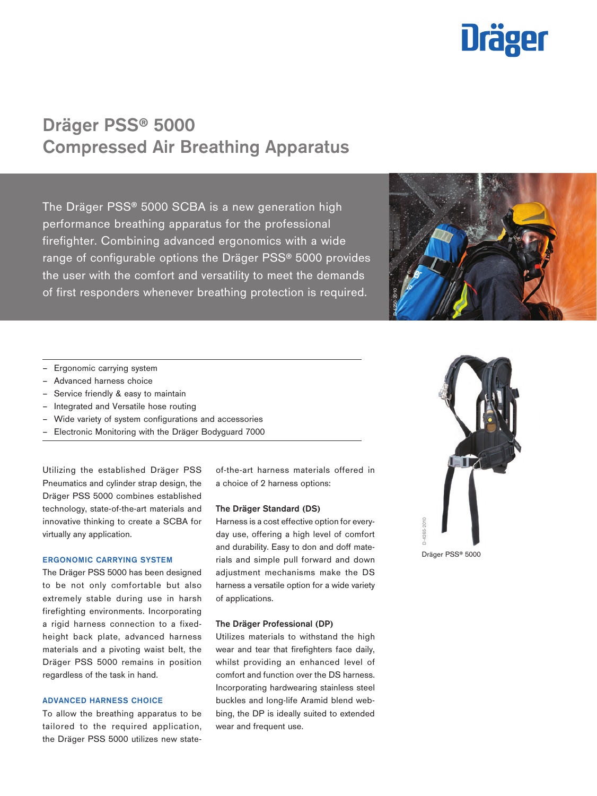# **Dräger**

## Dräger PSS® 5000 Compressed Air Breathing Apparatus

The Dräger PSS® 5000 SCBA is a new generation high performance breathing apparatus for the professional firefighter. Combining advanced ergonomics with a wide range of configurable options the Dräger PSS® 5000 provides the user with the comfort and versatility to meet the demands of first responders whenever breathing protection is required.



- Ergonomic carrying system
- Advanced harness choice
- Service friendly & easy to maintain
- Integrated and Versatile hose routing
- Wide variety of system configurations and accessories
- Electronic Monitoring with the Dräger Bodyguard 7000

Utilizing the established Dräger PSS Pneumatics and cylinder strap design, the Dräger PSS 5000 combines established technology, state-of-the-art materials and innovative thinking to create a SCBA for virtually any application.

#### ERGONOMIC CARRYING SYSTEM

The Dräger PSS 5000 has been designed to be not only comfortable but also extremely stable during use in harsh firefighting environments. Incorporating a rigid harness connection to a fixedheight back plate, advanced harness materials and a pivoting waist belt, the Dräger PSS 5000 remains in position regardless of the task in hand.

#### ADVANCED HARNESS CHOICE

To allow the breathing apparatus to be tailored to the required application, the Dräger PSS 5000 utilizes new stateof-the-art harness materials offered in a choice of 2 harness options:

#### The Dräger Standard (DS)

Harness is a cost effective option for everyday use, offering a high level of comfort and durability. Easy to don and doff materials and simple pull forward and down adjustment mechanisms make the DS harness a versatile option for a wide variety of applications. EDGOUGHIG OLD WILLIAM STATES SOUTH THE CONTRACT OF THE CONTRACT OF THE CONTRACT OF THE CONTRACT OF THE CONTRACT OF THE CONTRACT OF THE CONTRACT OF THE CONTRACT OF THE CONTRACT OF THE CONTRACT OF THE CONTRACT OF THE CONTRAC

#### The Dräger Professional (DP)

Utilizes materials to withstand the high wear and tear that firefighters face daily, whilst providing an enhanced level of comfort and function over the DS harness. Incorporating hardwearing stainless steel buckles and long-life Aramid blend webbing, the DP is ideally suited to extended wear and frequent use.



D-4265-2010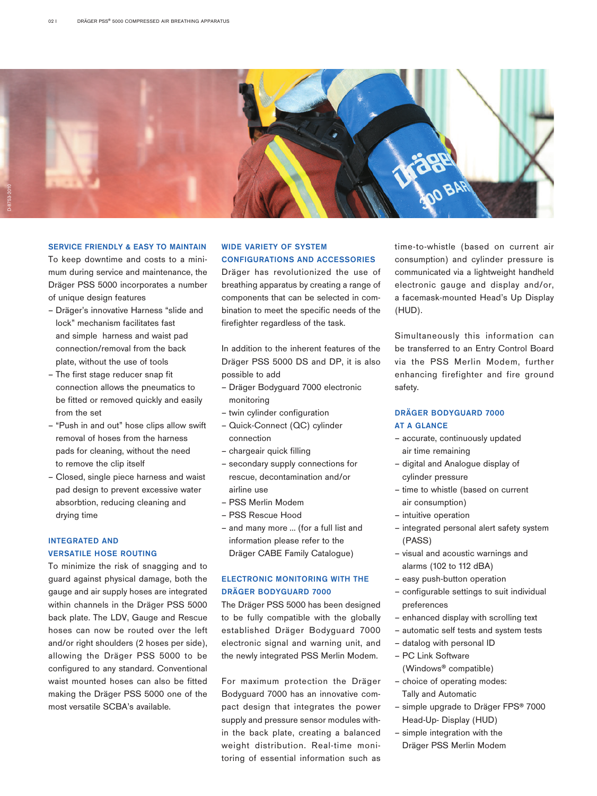

#### SERVICE FRIENDLY & EASY TO MAINTAIN

To keep downtime and costs to a minimum during service and maintenance, the Dräger PSS 5000 incorporates a number of unique design features

- Dräger's innovative Harness "slide and lock" mechanism facilitates fast and simple harness and waist pad connection/removal from the back plate, without the use of tools
- The first stage reducer snap fit connection allows the pneumatics to be fitted or removed quickly and easily from the set
- "Push in and out" hose clips allow swift removal of hoses from the harness pads for cleaning, without the need to remove the clip itself
- Closed, single piece harness and waist pad design to prevent excessive water absorbtion, reducing cleaning and drying time

#### INTEGRATED AND VERSATILE HOSE ROUTING

To minimize the risk of snagging and to guard against physical damage, both the gauge and air supply hoses are integrated within channels in the Dräger PSS 5000 back plate. The LDV, Gauge and Rescue hoses can now be routed over the left and/or right shoulders (2 hoses per side), allowing the Dräger PSS 5000 to be configured to any standard. Conventional waist mounted hoses can also be fitted making the Dräger PSS 5000 one of the most versatile SCBA's available.

#### WIDE VARIETY OF SYSTEM CONFIGURATIONS AND ACCESSORIES

Dräger has revolutionized the use of breathing apparatus by creating a range of components that can be selected in combination to meet the specific needs of the firefighter regardless of the task.

In addition to the inherent features of the Dräger PSS 5000 DS and DP, it is also possible to add

- Dräger Bodyguard 7000 electronic monitoring
- twin cylinder configuration
- Quick-Connect (QC) cylinder connection
- chargeair quick filling
- secondary supply connections for rescue, decontamination and/or airline use
- PSS Merlin Modem
- PSS Rescue Hood
- and many more … (for a full list and information please refer to the Dräger CABE Family Catalogue)

## ELECTRONIC MONITORING WITH THE DRÄGER BODYGUARD 7000

The Dräger PSS 5000 has been designed to be fully compatible with the globally established Dräger Bodyguard 7000 electronic signal and warning unit, and the newly integrated PSS Merlin Modem.

For maximum protection the Dräger Bodyguard 7000 has an innovative compact design that integrates the power supply and pressure sensor modules within the back plate, creating a balanced weight distribution. Real-time monitoring of essential information such as

time-to-whistle (based on current air consumption) and cylinder pressure is communicated via a lightweight handheld electronic gauge and display and/or, a facemask-mounted Head's Up Display (HUD).

Simultaneously this information can be transferred to an Entry Control Board via the PSS Merlin Modem, further enhancing firefighter and fire ground safety.

#### DRÄGER BODYGUARD 7000 AT A GLANCE

- accurate, continuously updated air time remaining
- digital and Analogue display of cylinder pressure
- time to whistle (based on current air consumption)
- intuitive operation
- integrated personal alert safety system (PASS)
- visual and acoustic warnings and alarms (102 to 112 dBA)
- easy push-button operation
- configurable settings to suit individual preferences
- enhanced display with scrolling text
- automatic self tests and system tests
- datalog with personal ID
- PC Link Software

(Windows® compatible)

- choice of operating modes: Tally and Automatic
- simple upgrade to Dräger FPS® 7000 Head-Up- Display (HUD)
- simple integration with the Dräger PSS Merlin Modem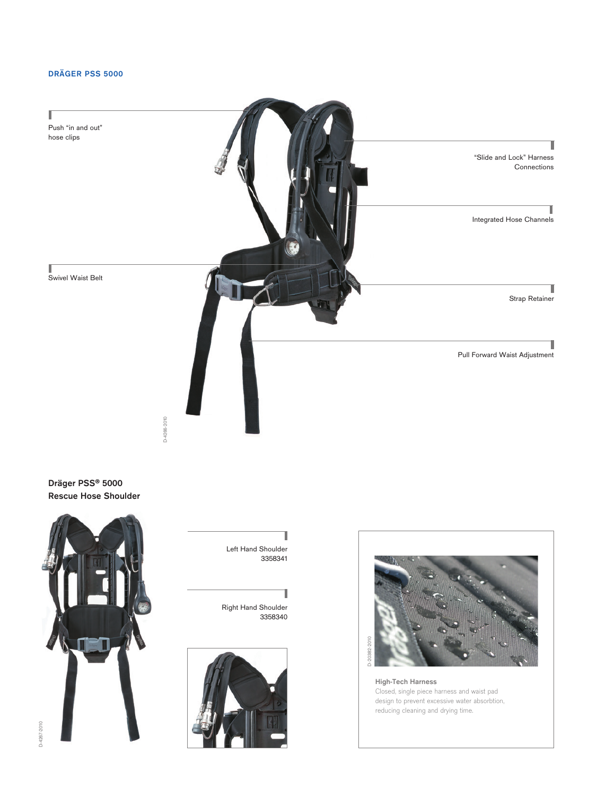## DRÄGER PSS 5000



Dräger PSS® 5000 Rescue Hose Shoulder





High-Tech Harness Closed, single piece harness and waist pad design to prevent excessive water absorbtion, reducing cleaning and drying time.

Left Hand Shoulder 3358341

Right Hand Shoulder 3358340

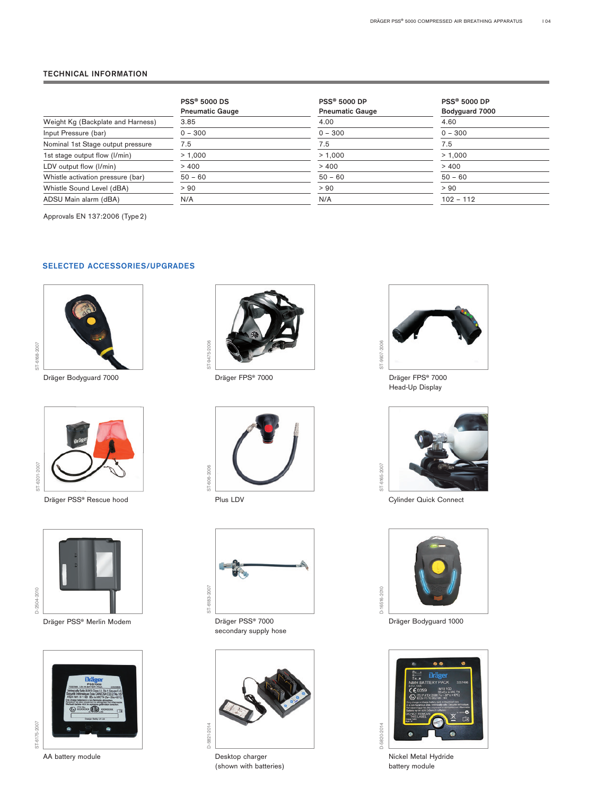#### TECHNICAL INFORMATION

|                                   | <b>PSS® 5000 DS</b><br><b>Pneumatic Gauge</b> | <b>PSS® 5000 DP</b><br><b>Pneumatic Gauge</b> | <b>PSS® 5000 DP</b><br>Bodyguard 7000 |
|-----------------------------------|-----------------------------------------------|-----------------------------------------------|---------------------------------------|
| Weight Kg (Backplate and Harness) | 3.85                                          | 4.00                                          | 4.60                                  |
| Input Pressure (bar)              | $0 - 300$                                     | $0 - 300$                                     | $0 - 300$                             |
| Nominal 1st Stage output pressure | 7.5                                           | 7.5                                           | 7.5                                   |
| 1st stage output flow (I/min)     | > 1.000                                       | > 1.000                                       | > 1.000                               |
| LDV output flow (I/min)           | >400                                          | >400                                          | >400                                  |
| Whistle activation pressure (bar) | $50 - 60$                                     | $50 - 60$                                     | $50 - 60$                             |
| Whistle Sound Level (dBA)         | > 90                                          | > 90                                          | > 90                                  |
| ADSU Main alarm (dBA)             | N/A                                           | N/A                                           | $102 - 112$                           |
|                                   |                                               |                                               |                                       |

Approvals EN 137:2006 (Type2)

#### SELECTED ACCESSORIES/UPGRADES



Dräger Bodyguard 7000 Dräger FPS® 7000 Dräger FPS® 7000



Dräger PSS® Rescue hood **Plus LDV** Plus LDV Cylinder Quick Connect



Dräger PSS® Merlin Modem Dräger PSS® 7000









secondary supply hose



AA battery module and a set of the Desktop charger (shown with batteries)



Head-Up Display





Dräger Bodyguard 1000



Nickel Metal Hydride battery module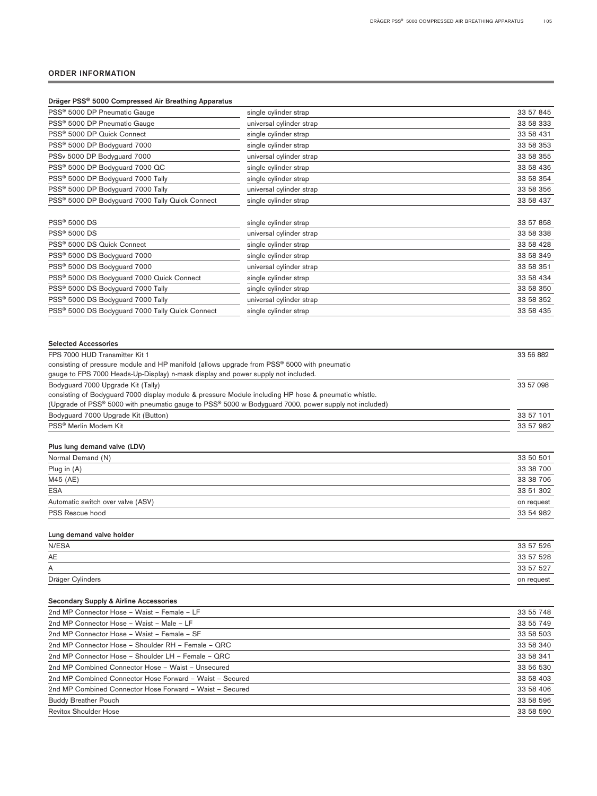#### ORDER INFORMATION

| Dräger PSS® 5000 Compressed Air Breathing Apparatus                                                                                                                                                                                                |                          |           |
|----------------------------------------------------------------------------------------------------------------------------------------------------------------------------------------------------------------------------------------------------|--------------------------|-----------|
| PSS <sup>®</sup> 5000 DP Pneumatic Gauge                                                                                                                                                                                                           | single cylinder strap    | 33 57 845 |
| PSS <sup>®</sup> 5000 DP Pneumatic Gauge                                                                                                                                                                                                           | universal cylinder strap | 33 58 333 |
| PSS <sup>®</sup> 5000 DP Quick Connect                                                                                                                                                                                                             | single cylinder strap    | 33 58 431 |
| PSS <sup>®</sup> 5000 DP Bodyguard 7000                                                                                                                                                                                                            | single cylinder strap    | 33 58 353 |
| PSSv 5000 DP Bodyguard 7000                                                                                                                                                                                                                        | universal cylinder strap | 33 58 355 |
| PSS® 5000 DP Bodyguard 7000 QC                                                                                                                                                                                                                     | single cylinder strap    | 33 58 436 |
| PSS® 5000 DP Bodyguard 7000 Tally                                                                                                                                                                                                                  | single cylinder strap    | 33 58 354 |
| PSS® 5000 DP Bodyguard 7000 Tally                                                                                                                                                                                                                  | universal cylinder strap | 33 58 356 |
| PSS® 5000 DP Bodyguard 7000 Tally Quick Connect                                                                                                                                                                                                    | single cylinder strap    | 33 58 437 |
| <b>PSS® 5000 DS</b>                                                                                                                                                                                                                                | single cylinder strap    | 33 57 858 |
| <b>PSS® 5000 DS</b>                                                                                                                                                                                                                                | universal cylinder strap | 33 58 338 |
| PSS <sup>®</sup> 5000 DS Quick Connect                                                                                                                                                                                                             | single cylinder strap    | 33 58 428 |
| PSS <sup>®</sup> 5000 DS Bodyguard 7000                                                                                                                                                                                                            | single cylinder strap    | 33 58 349 |
| PSS® 5000 DS Bodyguard 7000                                                                                                                                                                                                                        | universal cylinder strap | 33 58 351 |
| PSS <sup>®</sup> 5000 DS Bodyguard 7000 Quick Connect                                                                                                                                                                                              | single cylinder strap    | 33 58 434 |
| PSS® 5000 DS Bodyguard 7000 Tally                                                                                                                                                                                                                  | single cylinder strap    | 33 58 350 |
| PSS® 5000 DS Bodyguard 7000 Tally                                                                                                                                                                                                                  | universal cylinder strap | 33 58 352 |
| PSS <sup>®</sup> 5000 DS Bodyguard 7000 Tally Quick Connect                                                                                                                                                                                        | single cylinder strap    | 33 58 435 |
| consisting of pressure module and HP manifold (allows upgrade from PSS® 5000 with pneumatic<br>gauge to FPS 7000 Heads-Up-Display) n-mask display and power supply not included.                                                                   |                          |           |
| Bodyguard 7000 Upgrade Kit (Tally)<br>consisting of Bodyguard 7000 display module & pressure Module including HP hose & pneumatic whistle.<br>(Upgrade of PSS® 5000 with pneumatic gauge to PSS® 5000 w Bodyguard 7000, power supply not included) |                          | 33 57 098 |
| Bodyguard 7000 Upgrade Kit (Button)                                                                                                                                                                                                                | 33 57 101                |           |
| PSS <sup>®</sup> Merlin Modem Kit                                                                                                                                                                                                                  | 33 57 982                |           |
| Plus lung demand valve (LDV)                                                                                                                                                                                                                       |                          |           |
| Normal Demand (N)                                                                                                                                                                                                                                  |                          | 33 50 501 |
| Plug in (A)                                                                                                                                                                                                                                        |                          | 33 38 700 |
| M45 (AE)                                                                                                                                                                                                                                           |                          | 33 38 706 |
| <b>ESA</b>                                                                                                                                                                                                                                         |                          | 33 51 302 |
| Automatic switch over valve (ASV)                                                                                                                                                                                                                  | on request               |           |
| PSS Rescue hood                                                                                                                                                                                                                                    | 33 54 982                |           |
| Lung demand valve holder                                                                                                                                                                                                                           |                          |           |
| N/ESA                                                                                                                                                                                                                                              |                          | 33 57 526 |
| AE                                                                                                                                                                                                                                                 |                          | 33 57 528 |
| Α                                                                                                                                                                                                                                                  |                          | 33 57 527 |
| Dräger Cylinders                                                                                                                                                                                                                                   | on request               |           |
|                                                                                                                                                                                                                                                    |                          |           |
| <b>Secondary Supply &amp; Airline Accessories</b>                                                                                                                                                                                                  |                          |           |
| 2nd MP Connector Hose - Waist - Female - LF                                                                                                                                                                                                        | 33 55 748                |           |
| 2nd MP Connector Hose - Waist - Male - LF                                                                                                                                                                                                          | 33 55 749                |           |
| 2nd MP Connector Hose - Waist - Female - SF                                                                                                                                                                                                        | 33 58 503                |           |
| 2nd MP Connector Hose - Shoulder RH - Female - ORC                                                                                                                                                                                                 | 33 58 340                |           |

|                                                          | ------    |
|----------------------------------------------------------|-----------|
| 2nd MP Connector Hose - Shoulder RH - Female - QRC       | 33 58 340 |
| 2nd MP Connector Hose - Shoulder LH - Female - QRC       | 33 58 341 |
| 2nd MP Combined Connector Hose - Waist - Unsecured       | 33 56 530 |
| 2nd MP Combined Connector Hose Forward - Waist - Secured | 33 58 403 |
| 2nd MP Combined Connector Hose Forward - Waist - Secured | 33 58 406 |
| <b>Buddy Breather Pouch</b>                              | 33 58 596 |
| <b>Revitox Shoulder Hose</b>                             | 33 58 590 |